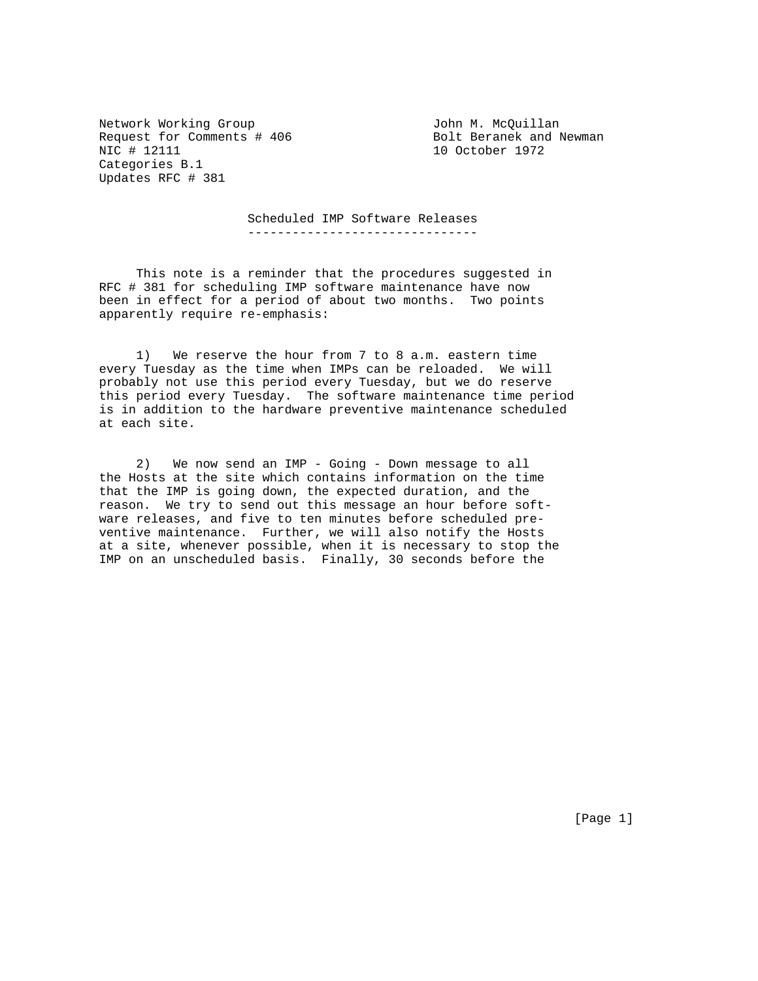Network Working Group 100 Metwork Working Group Request for Comments # 406 Bolt Beranek and Newman NIC # 12111 Categories B.1 Updates RFC # 381

10 October 1972

 Scheduled IMP Software Releases -------------------------------

 This note is a reminder that the procedures suggested in RFC # 381 for scheduling IMP software maintenance have now been in effect for a period of about two months. Two points apparently require re-emphasis:

 1) We reserve the hour from 7 to 8 a.m. eastern time every Tuesday as the time when IMPs can be reloaded. We will probably not use this period every Tuesday, but we do reserve this period every Tuesday. The software maintenance time period is in addition to the hardware preventive maintenance scheduled at each site.

 2) We now send an IMP - Going - Down message to all the Hosts at the site which contains information on the time that the IMP is going down, the expected duration, and the reason. We try to send out this message an hour before software releases, and five to ten minutes before scheduled preventive maintenance. Further, we will also notify the Hosts at a site, whenever possible, when it is necessary to stop the IMP on an unscheduled basis. Finally, 30 seconds before the

[Page 1]